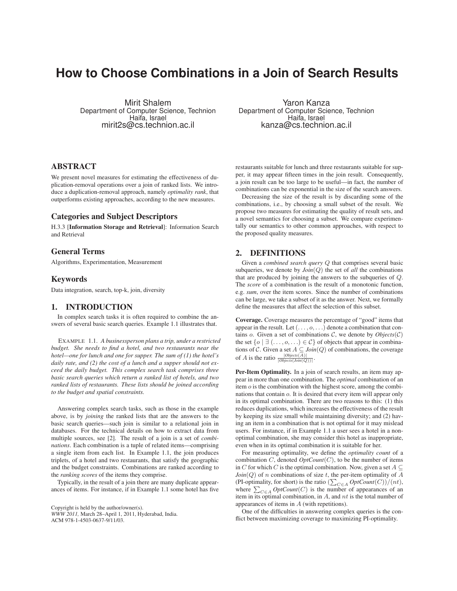# **How to Choose Combinations in a Join of Search Results**

Mirit Shalem Department of Computer Science, Technion Haifa, Israel mirit2s@cs.technion.ac.il

ABSTRACT

We present novel measures for estimating the effectiveness of duplication-removal operations over a join of ranked lists. We introduce a duplication-removal approach, namely *optimality rank*, that outperforms existing approaches, according to the new measures.

# Categories and Subject Descriptors

H.3.3 [Information Storage and Retrieval]: Information Search and Retrieval

# General Terms

Algorithms, Experimentation, Measurement

#### Keywords

Data integration, search, top-k, join, diversity

# 1. INTRODUCTION

In complex search tasks it is often required to combine the answers of several basic search queries. Example 1.1 illustrates that.

EXAMPLE 1.1. *A businessperson plans a trip, under a restricted budget. She needs to find a hotel, and two restaurants near the hotel—one for lunch and one for supper. The sum of (1) the hotel's daily rate, and (2) the cost of a lunch and a supper should not exceed the daily budget. This complex search task comprises three basic search queries which return a ranked list of hotels, and two ranked lists of restaurants. These lists should be joined according to the budget and spatial constraints.*

Answering complex search tasks, such as those in the example above, is by *joining* the ranked lists that are the answers to the basic search queries—such join is similar to a relational join in databases. For the technical details on how to extract data from multiple sources, see [2]. The result of a join is a set of *combinations*. Each combination is a tuple of related items—comprising a single item from each list. In Example 1.1, the join produces triplets, of a hotel and two restaurants, that satisfy the geographic and the budget constraints. Combinations are ranked according to the *ranking scores* of the items they comprise.

Typically, in the result of a join there are many duplicate appearances of items. For instance, if in Example 1.1 some hotel has five

Copyright is held by the author/owner(s).

*WWW 2011,* March 28–April 1, 2011, Hyderabad, India. ACM 978-1-4503-0637-9/11/03.

Yaron Kanza Department of Computer Science, Technion Haifa, Israel kanza@cs.technion.ac.il

restaurants suitable for lunch and three restaurants suitable for supper, it may appear fifteen times in the join result. Consequently, a join result can be too large to be useful—in fact, the number of combinations can be exponential in the size of the search answers.

Decreasing the size of the result is by discarding some of the combinations, i.e., by choosing a small subset of the result. We propose two measures for estimating the quality of result sets, and a novel semantics for choosing a subset. We compare experimentally our semantics to other common approaches, with respect to the proposed quality measures.

#### 2. DEFINITIONS

Given a *combined search query* Q that comprises several basic subqueries, we denote by  $Join(Q)$  the set of *all* the combinations that are produced by joining the answers to the subqueries of Q. The *score* of a combination is the result of a monotonic function, e.g. *sum*, over the item scores. Since the number of combinations can be large, we take a subset of it as the answer. Next, we formally define the measures that affect the selection of this subset.

Coverage. Coverage measures the percentage of "good" items that appear in the result. Let  $(\ldots, o, \ldots)$  denote a combination that contains *o*. Given a set of combinations  $C$ , we denote by *Objects*( $C$ ) the set  $\{o \mid \exists (\ldots, o, \ldots) \in C\}$  of objects that appear in combinations of C. Given a set  $A \subseteq \text{Join}(Q)$  of combinations, the coverage of *A* is the ratio  $\frac{|Objects(A)|}{|Objects(Join(Q))|}$ .

Per-Item Optimality. In a join of search results, an item may appear in more than one combination. The *optimal* combination of an item  $o$  is the combination with the highest score, among the combinations that contain o. It is desired that every item will appear only in its optimal combination. There are two reasons to this: (1) this reduces duplications, which increases the effectiveness of the result by keeping its size small while maintaining diversity; and (2) having an item in a combination that is not optimal for it may mislead users. For instance, if in Example 1.1 a user sees a hotel in a nonoptimal combination, she may consider this hotel as inappropriate, even when in its optimal combination it is suitable for her.

For measuring optimality, we define the *optimality count* of a combination  $C$ , denoted  $OptCount(C)$ , to be the number of items in C for which C is the optimal combination. Now, given a set  $A \subseteq$  $Join(Q)$  of n combinations of size t, the per-item optimality of  $A$ (PI-optimality, for short) is the ratio  $\left(\sum_{C \in A} OptCount(C)\right)/(nt)$ , where  $\sum_{C \in A} OptCount(C)$  is the number of appearances of an item in its optimal combination, in  $A$ , and  $nt$  is the total number of appearances of items in A (with repetitions).

One of the difficulties in answering complex queries is the conflict between maximizing coverage to maximizing PI-optimality.